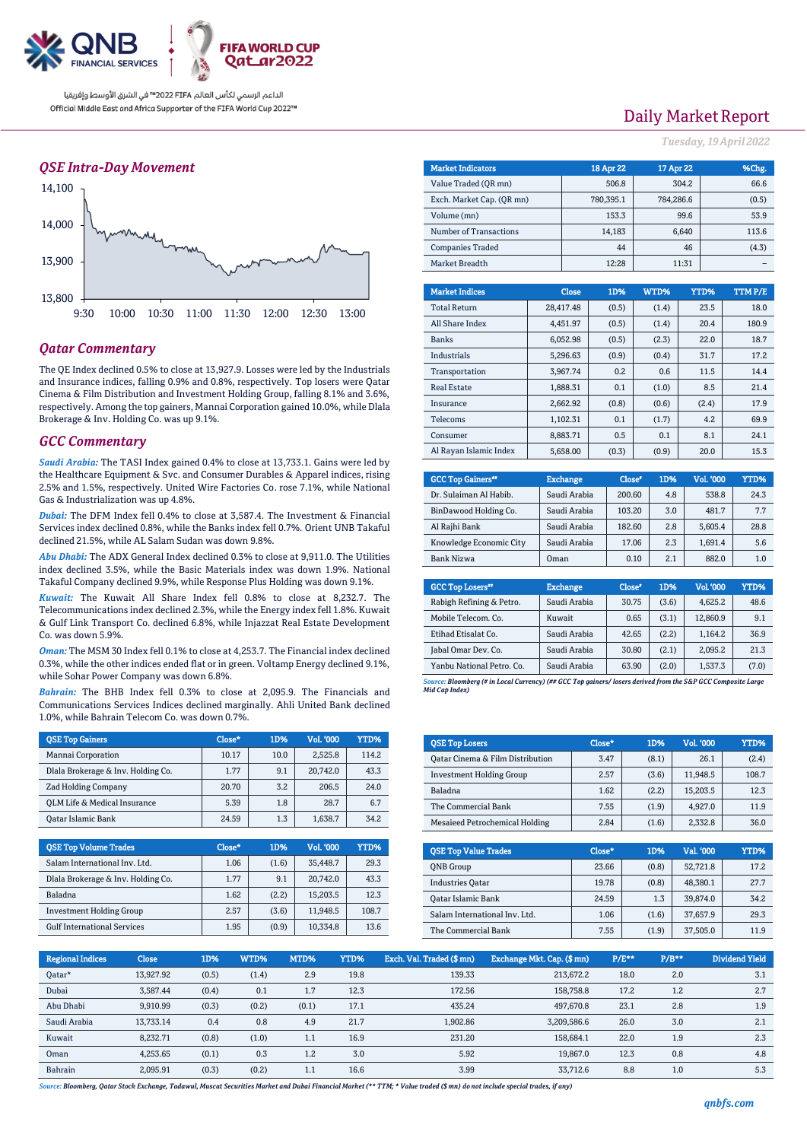

### *QSE Intra-Day Movement*



### *Qatar Commentary*

The QE Index declined 0.5% to close at 13,927.9. Losses were led by the Industrials and Insurance indices, falling 0.9% and 0.8%, respectively. Top losers were Qatar Cinema & Film Distribution and Investment Holding Group, falling 8.1% and 3.6%, respectively. Among the top gainers, Mannai Corporation gained 10.0%, while Dlala Brokerage & Inv. Holding Co. was up 9.1%.

#### *GCC Commentary*

*Saudi Arabia:* The TASI Index gained 0.4% to close at 13,733.1. Gains were led by the Healthcare Equipment & Svc. and Consumer Durables & Apparel indices, rising 2.5% and 1.5%, respectively. United Wire Factories Co. rose 7.1%, while National Gas & Industrialization was up 4.8%.

*Dubai:* The DFM Index fell 0.4% to close at 3,587.4. The Investment & Financial Services index declined 0.8%, while the Banks index fell 0.7%. Orient UNB Takaful declined 21.5%, while AL Salam Sudan was down 9.8%.

*Abu Dhabi:* The ADX General Index declined 0.3% to close at 9,911.0. The Utilities index declined 3.5%, while the Basic Materials index was down 1.9%. National Takaful Company declined 9.9%, while Response Plus Holding was down 9.1%.

*Kuwait:* The Kuwait All Share Index fell 0.8% to close at 8,232.7. The Telecommunications index declined 2.3%, while the Energy index fell 1.8%. Kuwait & Gulf Link Transport Co. declined 6.8%, while Injazzat Real Estate Development Co. was down 5.9%.

*Oman:* The MSM 30 Index fell 0.1% to close at 4,253.7. The Financial index declined 0.3%, while the other indices ended flat or in green. Voltamp Energy declined 9.1%, while Sohar Power Company was down 6.8%.

*Bahrain:* The BHB Index fell 0.3% to close at 2,095.9. The Financials and Communications Services Indices declined marginally. Ahli United Bank declined 1.0%, while Bahrain Telecom Co. was down 0.7%.

| <b>OSE Top Gainers</b>             | Close* | 1D%  | <b>Vol. '000</b> | YTD%  |
|------------------------------------|--------|------|------------------|-------|
| Mannai Corporation                 | 10.17  | 10.0 | 2.525.8          | 114.2 |
| Dlala Brokerage & Inv. Holding Co. | 1.77   | 9.1  | 20.742.0         | 43.3  |
| <b>Zad Holding Company</b>         | 20.70  | 3.2  | 206.5            | 24.0  |
| OLM Life & Medical Insurance       | 5.39   | 1.8  | 28.7             | 6.7   |
| <b>Oatar Islamic Bank</b>          | 24.59  | 1.3  | 1,638.7          | 34.2  |

| <b>QSE Top Volume Trades</b>       | Close* | 1D%   | Vol. '000 | YTD%  |
|------------------------------------|--------|-------|-----------|-------|
| Salam International Inv. Ltd.      | 1.06   | (1.6) | 35,448.7  | 29.3  |
| Dlala Brokerage & Inv. Holding Co. | 1.77   | 9.1   | 20.742.0  | 43.3  |
| Baladna                            | 1.62   | (2.2) | 15,203.5  | 12.3  |
| <b>Investment Holding Group</b>    | 2.57   | (3.6) | 11.948.5  | 108.7 |
| <b>Gulf International Services</b> | 1.95   | (0.9) | 10.334.8  | 13.6  |

# Daily Market Report

*Tuesday, 19April 2022*

| <b>Market Indicators</b>  |  | 18 Apr 22    | 17 Apr 22 |           |       | %Chg. |         |
|---------------------------|--|--------------|-----------|-----------|-------|-------|---------|
| Value Traded (OR mn)      |  |              | 506.8     |           | 304.2 | 66.6  |         |
| Exch. Market Cap. (QR mn) |  | 780,395.1    |           | 784,286.6 |       |       | (0.5)   |
| Volume (mn)               |  |              | 153.3     |           | 99.6  |       | 53.9    |
| Number of Transactions    |  |              | 14,183    |           | 6,640 |       | 113.6   |
| <b>Companies Traded</b>   |  |              | 44        |           | 46    |       | (4.3)   |
| Market Breadth            |  |              | 12:28     |           | 11:31 |       |         |
|                           |  |              |           |           |       |       |         |
| <b>Market Indices</b>     |  | <b>Close</b> | 1D%       | WTD%      | YTD%  |       | TTM P/E |
| <b>Total Return</b>       |  | 28,417.48    | (0.5)     | (1.4)     | 23.5  |       | 18.0    |
| All Share Index           |  | 4,451.97     | (0.5)     | (1.4)     | 20.4  |       | 180.9   |
| <b>Banks</b>              |  | 6,052.98     | (0.5)     | (2.3)     | 22.0  |       | 18.7    |
| <b>Industrials</b>        |  | 5,296.63     | (0.9)     | (0.4)     | 31.7  |       | 17.2    |
| Transportation            |  | 3,967.74     | 0.2       | 0.6       | 11.5  |       | 14.4    |
| <b>Real Estate</b>        |  | 1,888.31     | 0.1       | (1.0)     | 8.5   |       | 21.4    |
| Insurance                 |  | 2,662.92     | (0.8)     | (0.6)     | (2.4) |       | 17.9    |
| Telecoms                  |  | 1,102.31     | 0.1       | (1.7)     | 4.2   |       | 69.9    |

| <b>GCC Top Gainers</b> " | <b>Exchange</b> | Close* | 1D% | Vol. '000 | YTD% |
|--------------------------|-----------------|--------|-----|-----------|------|
| Dr. Sulaiman Al Habib.   | Saudi Arabia    | 200.60 | 4.8 | 538.8     | 24.3 |
| BinDawood Holding Co.    | Saudi Arabia    | 103.20 | 3.0 | 481.7     | 7.7  |
| Al Rajhi Bank            | Saudi Arabia    | 182.60 | 2.8 | 5.605.4   | 28.8 |
| Knowledge Economic City  | Saudi Arabia    | 17.06  | 2.3 | 1.691.4   | 5.6  |
| Bank Nizwa               | Oman            | 0.10   | 2.1 | 882.0     | 1.0  |
|                          |                 |        |     |           |      |

Consumer 8,883.71 0.5 0.1 8.1 24.1 Al Rayan Islamic Index 5,658.00 (0.3) (0.9) 20.0 15.3

| <b>GCC Top Losers"</b>    | <b>Exchange</b> | Close <sup>®</sup> | 1D%   | <b>Vol.'000</b> | YTD%  |
|---------------------------|-----------------|--------------------|-------|-----------------|-------|
| Rabigh Refining & Petro.  | Saudi Arabia    | 30.75              | (3.6) | 4,625.2         | 48.6  |
| Mobile Telecom. Co.       | Kuwait          | 0.65               | (3.1) | 12.860.9        | 9.1   |
| Etihad Etisalat Co.       | Saudi Arabia    | 42.65              | (2.2) | 1.164.2         | 36.9  |
| Jabal Omar Dev. Co.       | Saudi Arabia    | 30.80              | (2.1) | 2,095.2         | 21.3  |
| Yanbu National Petro, Co. | Saudi Arabia    | 63.90              | (2.0) | 1,537.3         | (7.0) |

*Source: Bloomberg (# in Local Currency) (## GCC Top gainers/ losers derived from the S&P GCC Composite Large Mid Cap Index)*

| <b>QSE Top Losers</b>            | Close* | 1D%   | <b>Vol. '000</b> | YTD%  |
|----------------------------------|--------|-------|------------------|-------|
| Qatar Cinema & Film Distribution | 3.47   | (8.1) | 26.1             | (2.4) |
| <b>Investment Holding Group</b>  | 2.57   | (3.6) | 11.948.5         | 108.7 |
| Baladna                          | 1.62   | (2.2) | 15,203.5         | 12.3  |
| The Commercial Bank              | 7.55   | (1.9) | 4.927.0          | 11.9  |
| Mesaieed Petrochemical Holding   | 2.84   | (1.6) | 2,332.8          | 36.0  |

| <b>OSE Top Value Trades</b>   | Close* | 1D%   | Val. '000 | YTD% |
|-------------------------------|--------|-------|-----------|------|
| <b>ONB</b> Group              | 23.66  | (0.8) | 52.721.8  | 17.2 |
| <b>Industries Oatar</b>       | 19.78  | (0.8) | 48.380.1  | 27.7 |
| Qatar Islamic Bank            | 24.59  | 1.3   | 39.874.0  | 34.2 |
| Salam International Inv. Ltd. | 1.06   | (1.6) | 37.657.9  | 29.3 |
| The Commercial Bank           | 7.55   | (1.9) | 37.505.0  | 11.9 |

| <b>Regional Indices</b> | <b>Close</b> | 1D%   | WTD%  | MTD%  | YTD% | Exch. Val. Traded (\$mn) | Exchange Mkt. Cap. (\$ mn) | $P/E***$ | $P/B**$ | Dividend Yield |
|-------------------------|--------------|-------|-------|-------|------|--------------------------|----------------------------|----------|---------|----------------|
| Oatar*                  | 13,927.92    | (0.5) | (1.4) | 2.9   | 19.8 | 139.33                   | 213.672.2                  | 18.0     | 2.0     | 3.1            |
| Dubai                   | 3.587.44     | (0.4) | 0.1   | 1.7   | 12.3 | 172.56                   | 158,758.8                  | 17.2     | 1.2     | 2.7            |
| Abu Dhabi               | 9,910.99     | (0.3) | (0.2) | (0.1) | 17.1 | 435.24                   | 497.670.8                  | 23.1     | 2.8     | 1.9            |
| Saudi Arabia            | 13.733.14    | 0.4   | 0.8   | 4.9   | 21.7 | 1.902.86                 | 3,209,586.6                | 26.0     | 3.0     | 2.1            |
| Kuwait                  | 8,232.71     | (0.8) | (1.0) | 1.1   | 16.9 | 231.20                   | 158.684.1                  | 22.0     | 1.9     | 2.3            |
| Oman                    | 4.253.65     | (0.1) | 0.3   | 1.2   | 3.0  | 5.92                     | 19.867.0                   | 12.3     | 0.8     | 4.8            |
| Bahrain                 | 2.095.91     | (0.3) | (0.2) | 1.1   | 16.6 | 3.99                     | 33.712.6                   | 8.8      | 1.0     | 5.3            |

*Source: Bloomberg, Qatar Stock Exchange, Tadawul, Muscat Securities Market and Dubai Financial Market (\*\* TTM; \* Value traded (\$ mn) do not include special trades, if any)*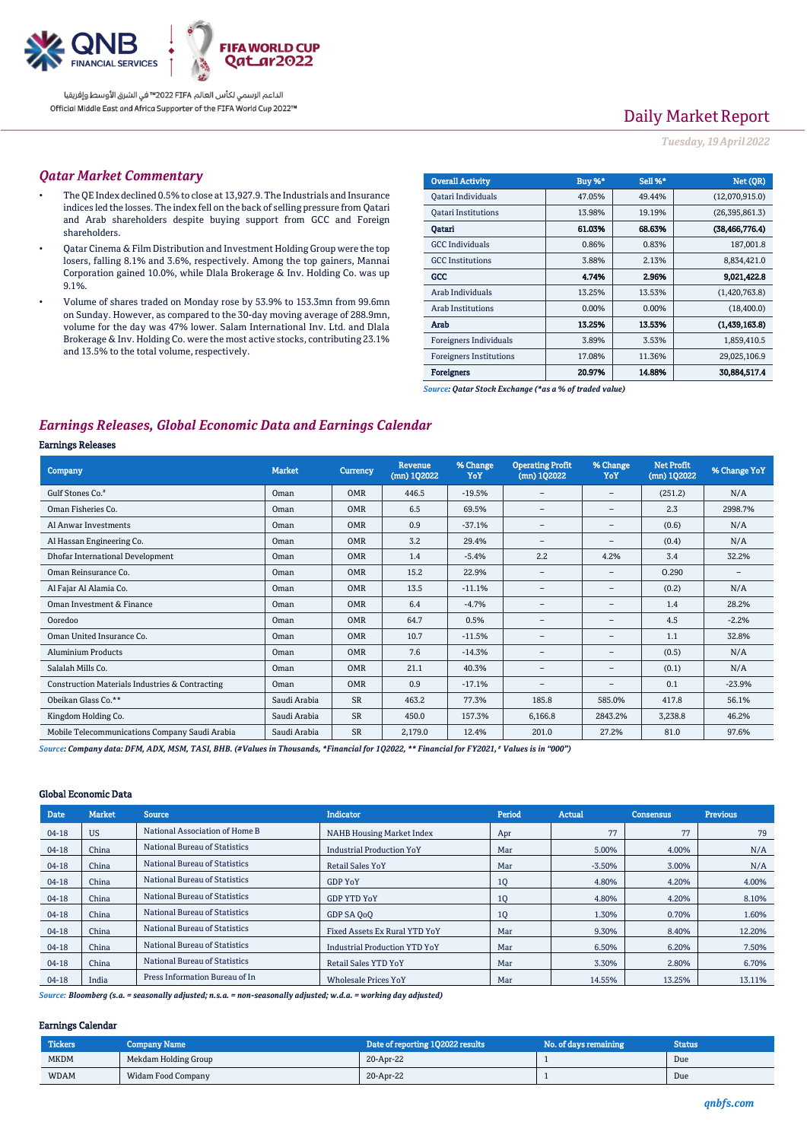

# Daily Market Report

*Tuesday, 19April 2022*

### *Qatar Market Commentary*

- The QE Index declined 0.5% to close at 13,927.9. The Industrials and Insurance indices led the losses. The index fell on the back of selling pressure from Qatari and Arab shareholders despite buying support from GCC and Foreign shareholders.
- Qatar Cinema & Film Distribution and Investment Holding Group were the top losers, falling 8.1% and 3.6%, respectively. Among the top gainers, Mannai Corporation gained 10.0%, while Dlala Brokerage & Inv. Holding Co. was up 9.1%.
- Volume of shares traded on Monday rose by 53.9% to 153.3mn from 99.6mn on Sunday. However, as compared to the 30-day moving average of 288.9mn, volume for the day was 47% lower. Salam International Inv. Ltd. and Dlala Brokerage & Inv. Holding Co. were the most active stocks, contributing 23.1% and 13.5% to the total volume, respectively.

| <b>Overall Activity</b>        | <b>Buy %*</b> | Sell %* | Net (QR)         |
|--------------------------------|---------------|---------|------------------|
| Qatari Individuals             | 47.05%        | 49.44%  | (12,070,915.0)   |
| <b>Oatari Institutions</b>     | 13.98%        | 19.19%  | (26, 395, 861.3) |
| Oatari                         | 61.03%        | 68.63%  | (38, 466, 776.4) |
| <b>GCC</b> Individuals         | 0.86%         | 0.83%   | 187,001.8        |
| <b>GCC</b> Institutions        | 3.88%         | 2.13%   | 8,834,421.0      |
| GCC                            | 4.74%         | 2.96%   | 9,021,422.8      |
| Arab Individuals               | 13.25%        | 13.53%  | (1,420,763.8)    |
| <b>Arab Institutions</b>       | 0.00%         | 0.00%   | (18, 400.0)      |
| Arab                           | 13.25%        | 13.53%  | (1,439,163.8)    |
| Foreigners Individuals         | 3.89%         | 3.53%   | 1,859,410.5      |
| <b>Foreigners Institutions</b> | 17.08%        | 11.36%  | 29,025,106.9     |
| <b>Foreigners</b>              | 20.97%        | 14.88%  | 30,884,517.4     |

*Source: Qatar Stock Exchange (\*as a % of traded value)*

### *Earnings Releases, Global Economic Data and Earnings Calendar*

#### Earnings Releases

| <b>Company</b>                                  | <b>Market</b> | <b>Currency</b> | <b>Revenue</b><br>$(mn)$ 1Q2022 | % Change<br>YoY | <b>Operating Profit</b><br>$(mn)$ 1Q2022 | % Change<br>YoY          | Net Profit<br>$(mn)$ 1Q2022 | % Change YoY             |
|-------------------------------------------------|---------------|-----------------|---------------------------------|-----------------|------------------------------------------|--------------------------|-----------------------------|--------------------------|
| Gulf Stones Co."                                | Oman          | <b>OMR</b>      | 446.5                           | $-19.5%$        | $\overline{\phantom{0}}$                 | $\overline{\phantom{a}}$ | (251.2)                     | N/A                      |
| Oman Fisheries Co.                              | Oman          | <b>OMR</b>      | 6.5                             | 69.5%           | $\overline{\phantom{0}}$                 | $\overline{\phantom{0}}$ | 2.3                         | 2998.7%                  |
| Al Anwar Investments                            | Oman          | <b>OMR</b>      | 0.9                             | $-37.1%$        | $\overline{\phantom{0}}$                 | $\overline{\phantom{0}}$ | (0.6)                       | N/A                      |
| Al Hassan Engineering Co.                       | Oman          | <b>OMR</b>      | 3.2                             | 29.4%           | $\overline{\phantom{0}}$                 |                          | (0.4)                       | N/A                      |
| Dhofar International Development                | Oman          | <b>OMR</b>      | 1.4                             | $-5.4%$         | 2.2                                      | 4.2%                     | 3.4                         | 32.2%                    |
| Oman Reinsurance Co.                            | Oman          | <b>OMR</b>      | 15.2                            | 22.9%           | $\overline{\phantom{0}}$                 | $\overline{\phantom{a}}$ | 0.290                       | $\overline{\phantom{0}}$ |
| Al Fajar Al Alamia Co.                          | Oman          | <b>OMR</b>      | 13.5                            | $-11.1%$        | $\overline{\phantom{0}}$                 | $\overline{\phantom{0}}$ | (0.2)                       | N/A                      |
| Oman Investment & Finance                       | Oman          | <b>OMR</b>      | 6.4                             | $-4.7%$         | $\overline{\phantom{0}}$                 | $\overline{\phantom{0}}$ | 1.4                         | 28.2%                    |
| Ooredoo                                         | Oman          | <b>OMR</b>      | 64.7                            | 0.5%            | $\overline{\phantom{0}}$                 | $\overline{\phantom{a}}$ | 4.5                         | $-2.2%$                  |
| Oman United Insurance Co.                       | Oman          | <b>OMR</b>      | 10.7                            | $-11.5%$        | $\overline{\phantom{0}}$                 | $\overline{\phantom{0}}$ | 1.1                         | 32.8%                    |
| <b>Aluminium Products</b>                       | Oman          | <b>OMR</b>      | 7.6                             | $-14.3%$        | $\overline{\phantom{0}}$                 | $\overline{\phantom{0}}$ | (0.5)                       | N/A                      |
| Salalah Mills Co.                               | Oman          | <b>OMR</b>      | 21.1                            | 40.3%           | $\overline{\phantom{0}}$                 | $\overline{\phantom{a}}$ | (0.1)                       | N/A                      |
| Construction Materials Industries & Contracting | Oman          | <b>OMR</b>      | 0.9                             | $-17.1%$        | $\overline{\phantom{0}}$                 | $\overline{\phantom{a}}$ | 0.1                         | $-23.9%$                 |
| Obeikan Glass Co.**                             | Saudi Arabia  | <b>SR</b>       | 463.2                           | 77.3%           | 185.8                                    | 585.0%                   | 417.8                       | 56.1%                    |
| Kingdom Holding Co.                             | Saudi Arabia  | <b>SR</b>       | 450.0                           | 157.3%          | 6,166.8                                  | 2843.2%                  | 3,238.8                     | 46.2%                    |
| Mobile Telecommunications Company Saudi Arabia  | Saudi Arabia  | <b>SR</b>       | 2,179.0                         | 12.4%           | 201.0                                    | 27.2%                    | 81.0                        | 97.6%                    |

*Source: Company data: DFM, ADX, MSM, TASI, BHB. (#Values in Thousands, \*Financial for 1Q2022, \*\* Financial for FY2021, # Values is in "000")*

#### Global Economic Data

| <b>Date</b> | <b>Market</b> | <b>Source</b>                  | <b>Indicator</b>                     | Period | Actual   | <b>Consensus</b> | <b>Previous</b> |
|-------------|---------------|--------------------------------|--------------------------------------|--------|----------|------------------|-----------------|
| $04-18$     | <b>US</b>     | National Association of Home B | <b>NAHB Housing Market Index</b>     | Apr    | 77       | 77               | 79              |
| $04-18$     | China         | National Bureau of Statistics  | <b>Industrial Production YoY</b>     | Mar    | 5.00%    | 4.00%            | N/A             |
| $04-18$     | China         | National Bureau of Statistics  | <b>Retail Sales YoY</b>              | Mar    | $-3.50%$ | 3.00%            | N/A             |
| $04-18$     | China         | National Bureau of Statistics  | <b>GDP YoY</b>                       | 10     | 4.80%    | 4.20%            | 4.00%           |
| $04-18$     | China         | National Bureau of Statistics  | <b>GDP YTD YoY</b>                   | 10     | 4.80%    | 4.20%            | 8.10%           |
| $04-18$     | China         | National Bureau of Statistics  | GDP SA OoO                           | 10     | 1.30%    | 0.70%            | 1.60%           |
| $04-18$     | China         | National Bureau of Statistics  | Fixed Assets Ex Rural YTD YoY        | Mar    | 9.30%    | 8.40%            | 12.20%          |
| $04-18$     | China         | National Bureau of Statistics  | <b>Industrial Production YTD YoY</b> | Mar    | 6.50%    | 6.20%            | 7.50%           |
| $04-18$     | China         | National Bureau of Statistics  | <b>Retail Sales YTD YoY</b>          | Mar    | 3.30%    | 2.80%            | 6.70%           |
| $04-18$     | India         | Press Information Bureau of In | <b>Wholesale Prices YoY</b>          | Mar    | 14.55%   | 13.25%           | 13.11%          |

*Source: Bloomberg (s.a. = seasonally adjusted; n.s.a. = non-seasonally adjusted; w.d.a. = working day adjusted)*

#### Earnings Calendar

| Tickers     | <b>Company Name</b>  | Date of reporting 1Q2022 results | No. of days remaining | <b>Status</b> |
|-------------|----------------------|----------------------------------|-----------------------|---------------|
| <b>MKDM</b> | Mekdam Holding Group | 20-Apr-22                        |                       | Due           |
| <b>WDAM</b> | Widam Food Company   | 20-Apr-22                        |                       | Due           |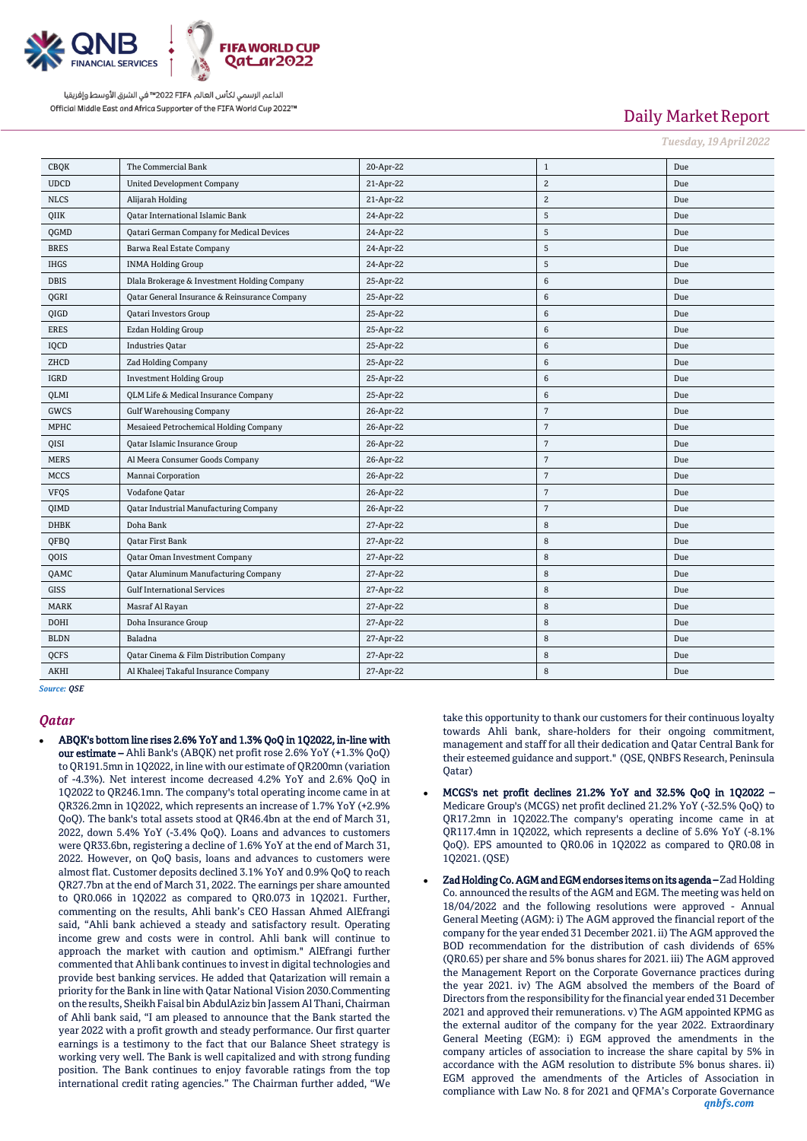

# Daily Market Report

*Tuesday, 19April 2022*

| <b>CBQK</b> | The Commercial Bank                              | 20-Apr-22 | $\mathbf{1}$   | Due |
|-------------|--------------------------------------------------|-----------|----------------|-----|
| <b>UDCD</b> | <b>United Development Company</b>                | 21-Apr-22 | $\mathbf{2}$   | Due |
| <b>NLCS</b> | Alijarah Holding                                 | 21-Apr-22 | $\mathbf{2}$   | Due |
| QIIK        | <b>Qatar International Islamic Bank</b>          | 24-Apr-22 | 5              | Due |
| QGMD        | <b>Qatari German Company for Medical Devices</b> | 24-Apr-22 | 5              | Due |
| <b>BRES</b> | Barwa Real Estate Company                        | 24-Apr-22 | 5              | Due |
| <b>IHGS</b> | <b>INMA Holding Group</b>                        | 24-Apr-22 | 5              | Due |
| <b>DBIS</b> | Dlala Brokerage & Investment Holding Company     | 25-Apr-22 | $\,6\,$        | Due |
| QGRI        | Qatar General Insurance & Reinsurance Company    | 25-Apr-22 | 6              | Due |
| QIGD        | Qatari Investors Group                           | 25-Apr-22 | 6              | Due |
| <b>ERES</b> | <b>Ezdan Holding Group</b>                       | 25-Apr-22 | 6              | Due |
| IQCD        | <b>Industries Qatar</b>                          | 25-Apr-22 | 6              | Due |
| ZHCD        | <b>Zad Holding Company</b>                       | 25-Apr-22 | 6              | Due |
| <b>IGRD</b> | <b>Investment Holding Group</b>                  | 25-Apr-22 | 6              | Due |
| QLMI        | <b>QLM Life &amp; Medical Insurance Company</b>  | 25-Apr-22 | 6              | Due |
| GWCS        | <b>Gulf Warehousing Company</b>                  | 26-Apr-22 | 7              | Due |
| <b>MPHC</b> | Mesaieed Petrochemical Holding Company           | 26-Apr-22 | $\overline{7}$ | Due |
| QISI        | Qatar Islamic Insurance Group                    | 26-Apr-22 | $\overline{7}$ | Due |
| <b>MERS</b> | Al Meera Consumer Goods Company                  | 26-Apr-22 | 7              | Due |
| <b>MCCS</b> | Mannai Corporation                               | 26-Apr-22 | $\overline{7}$ | Due |
| <b>VFQS</b> | Vodafone Qatar                                   | 26-Apr-22 | $\overline{7}$ | Due |
| QIMD        | <b>Qatar Industrial Manufacturing Company</b>    | 26-Apr-22 | $\overline{7}$ | Due |
| <b>DHBK</b> | Doha Bank                                        | 27-Apr-22 | 8              | Due |
| QFBQ        | <b>Qatar First Bank</b>                          | 27-Apr-22 | 8              | Due |
| QOIS        | Qatar Oman Investment Company                    | 27-Apr-22 | 8              | Due |
| QAMC        | <b>Qatar Aluminum Manufacturing Company</b>      | 27-Apr-22 | 8              | Due |
| <b>GISS</b> | <b>Gulf International Services</b>               | 27-Apr-22 | 8              | Due |
| <b>MARK</b> | Masraf Al Rayan                                  | 27-Apr-22 | 8              | Due |
| <b>DOHI</b> | Doha Insurance Group                             | 27-Apr-22 | 8              | Due |
| <b>BLDN</b> | Baladna                                          | 27-Apr-22 | 8              | Due |
| QCFS        | Qatar Cinema & Film Distribution Company         | 27-Apr-22 | 8              | Due |
| <b>AKHI</b> | Al Khaleej Takaful Insurance Company             | 27-Apr-22 | 8              | Due |

*Source: QSE*

#### *Qatar*

 ABQK's bottom line rises 2.6% YoY and 1.3% QoQ in 1Q2022, in-line with our estimate – Ahli Bank's (ABQK) net profit rose 2.6% YoY (+1.3% QoQ) to QR191.5mn in 1Q2022, in line with our estimate of QR200mn (variation of -4.3%). Net interest income decreased 4.2% YoY and 2.6% QoQ in 1Q2022 to QR246.1mn. The company's total operating income came in at QR326.2mn in 1Q2022, which represents an increase of 1.7% YoY (+2.9% QoQ). The bank's total assets stood at QR46.4bn at the end of March 31, 2022, down 5.4% YoY (-3.4% QoQ). Loans and advances to customers were QR33.6bn, registering a decline of 1.6% YoY at the end of March 31, 2022. However, on QoQ basis, loans and advances to customers were almost flat. Customer deposits declined 3.1% YoY and 0.9% QoQ to reach QR27.7bn at the end of March 31, 2022. The earnings per share amounted to QR0.066 in 1Q2022 as compared to QR0.073 in 1Q2021. Further, commenting on the results, Ahli bank's CEO Hassan Ahmed AlEfrangi said, "Ahli bank achieved a steady and satisfactory result. Operating income grew and costs were in control. Ahli bank will continue to approach the market with caution and optimism." AlEfrangi further commented that Ahli bank continues to invest in digital technologies and provide best banking services. He added that Qatarization will remain a priority for the Bank in line with Qatar National Vision 2030.Commenting on the results, Sheikh Faisal bin AbdulAziz bin Jassem Al Thani, Chairman of Ahli bank said, "I am pleased to announce that the Bank started the year 2022 with a profit growth and steady performance. Our first quarter earnings is a testimony to the fact that our Balance Sheet strategy is working very well. The Bank is well capitalized and with strong funding position. The Bank continues to enjoy favorable ratings from the top international credit rating agencies." The Chairman further added, "We

take this opportunity to thank our customers for their continuous loyalty towards Ahli bank, share-holders for their ongoing commitment, management and staff for all their dedication and Qatar Central Bank for their esteemed guidance and support." (QSE, QNBFS Research, Peninsula Qatar)

- MCGS's net profit declines 21.2% YoY and 32.5% QoQ in 1Q2022 Medicare Group's (MCGS) net profit declined 21.2% YoY (-32.5% QoQ) to QR17.2mn in 1Q2022.The company's operating income came in at QR117.4mn in 1Q2022, which represents a decline of 5.6% YoY (-8.1% QoQ). EPS amounted to QR0.06 in 1Q2022 as compared to QR0.08 in 1Q2021. (QSE)
- Zad Holding Co. AGM and EGM endorses items on its agenda Zad Holding Co. announced the results of the AGM and EGM. The meeting was held on 18/04/2022 and the following resolutions were approved - Annual General Meeting (AGM): i) The AGM approved the financial report of the company for the year ended 31 December 2021. ii) The AGM approved the BOD recommendation for the distribution of cash dividends of 65% (QR0.65) per share and 5% bonus shares for 2021. iii) The AGM approved the Management Report on the Corporate Governance practices during the year 2021. iv) The AGM absolved the members of the Board of Directors from the responsibility for the financial year ended 31 December 2021 and approved their remunerations. v) The AGM appointed KPMG as the external auditor of the company for the year 2022. Extraordinary General Meeting (EGM): i) EGM approved the amendments in the company articles of association to increase the share capital by 5% in accordance with the AGM resolution to distribute 5% bonus shares. ii) EGM approved the amendments of the Articles of Association in compliance with Law No. 8 for 2021 and QFMA's Corporate Governance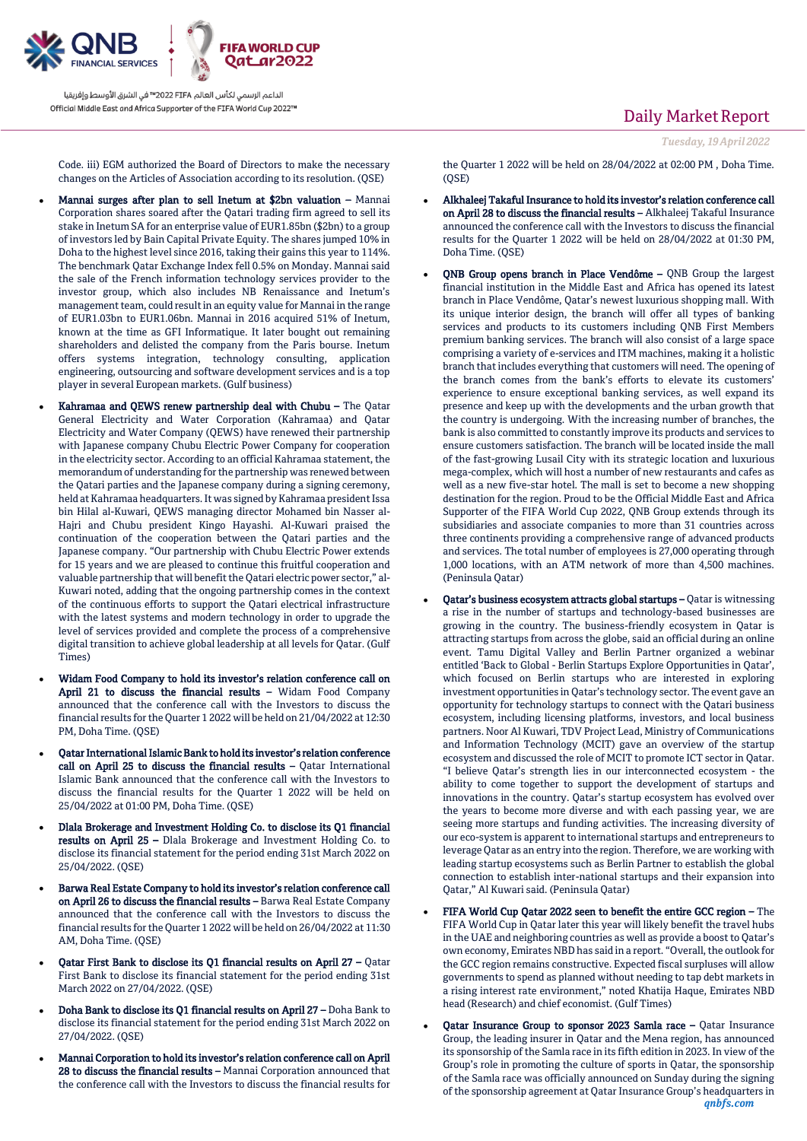

Code. iii) EGM authorized the Board of Directors to make the necessary changes on the Articles of Association according to its resolution. (QSE)

- Mannai surges after plan to sell Inetum at \$2bn valuation Mannai Corporation shares soared after the Qatari trading firm agreed to sell its stake in Inetum SA for an enterprise value of EUR1.85bn (\$2bn) to a group of investors led by Bain Capital Private Equity. The shares jumped 10% in Doha to the highest level since 2016, taking their gains this year to 114%. The benchmark Qatar Exchange Index fell 0.5% on Monday. Mannai said the sale of the French information technology services provider to the investor group, which also includes NB Renaissance and Inetum's management team, could result in an equity value for Mannai in the range of EUR1.03bn to EUR1.06bn. Mannai in 2016 acquired 51% of Inetum, known at the time as GFI Informatique. It later bought out remaining shareholders and delisted the company from the Paris bourse. Inetum offers systems integration, technology consulting, application engineering, outsourcing and software development services and is a top player in several European markets. (Gulf business)
- Kahramaa and QEWS renew partnership deal with Chubu The Qatar General Electricity and Water Corporation (Kahramaa) and Qatar Electricity and Water Company (QEWS) have renewed their partnership with Japanese company Chubu Electric Power Company for cooperation in the electricity sector. According to an official Kahramaa statement, the memorandum of understanding for the partnership was renewed between the Qatari parties and the Japanese company during a signing ceremony, held at Kahramaa headquarters. It was signed by Kahramaa president Issa bin Hilal al-Kuwari, QEWS managing director Mohamed bin Nasser al-Hajri and Chubu president Kingo Hayashi. Al-Kuwari praised the continuation of the cooperation between the Qatari parties and the Japanese company. "Our partnership with Chubu Electric Power extends for 15 years and we are pleased to continue this fruitful cooperation and valuable partnership that will benefit the Qatari electric power sector," al-Kuwari noted, adding that the ongoing partnership comes in the context of the continuous efforts to support the Qatari electrical infrastructure with the latest systems and modern technology in order to upgrade the level of services provided and complete the process of a comprehensive digital transition to achieve global leadership at all levels for Qatar. (Gulf Times)
- Widam Food Company to hold its investor's relation conference call on April 21 to discuss the financial results – Widam Food Company announced that the conference call with the Investors to discuss the financial results for the Quarter 1 2022 will be held on 21/04/2022 at 12:30 PM, Doha Time. (QSE)
- Qatar International Islamic Bank to hold its investor's relation conference call on April 25 to discuss the financial results - Qatar International Islamic Bank announced that the conference call with the Investors to discuss the financial results for the Quarter 1 2022 will be held on 25/04/2022 at 01:00 PM, Doha Time. (QSE)
- Dlala Brokerage and Investment Holding Co. to disclose its Q1 financial results on April 25 – Dlala Brokerage and Investment Holding Co. to disclose its financial statement for the period ending 31st March 2022 on 25/04/2022. (QSE)
- Barwa Real Estate Company to hold its investor's relation conference call on April 26 to discuss the financial results – Barwa Real Estate Company announced that the conference call with the Investors to discuss the financial results for the Quarter 1 2022 will be held on 26/04/2022 at 11:30 AM, Doha Time. (QSE)
- Qatar First Bank to disclose its Q1 financial results on April 27 Qatar First Bank to disclose its financial statement for the period ending 31st March 2022 on 27/04/2022. (QSE)
- Doha Bank to disclose its Q1 financial results on April 27 Doha Bank to disclose its financial statement for the period ending 31st March 2022 on 27/04/2022. (QSE)
- Mannai Corporation to hold its investor's relation conference call on April 28 to discuss the financial results – Mannai Corporation announced that the conference call with the Investors to discuss the financial results for

## Daily Market Report

*Tuesday, 19April 2022*

the Quarter 1 2022 will be held on 28/04/2022 at 02:00 PM , Doha Time.  $(OSE)$ 

- Alkhaleej Takaful Insurance to hold its investor's relation conference call on April 28 to discuss the financial results – Alkhaleej Takaful Insurance announced the conference call with the Investors to discuss the financial results for the Quarter 1 2022 will be held on 28/04/2022 at 01:30 PM, Doha Time. (QSE)
- QNB Group opens branch in Place Vendôme QNB Group the largest financial institution in the Middle East and Africa has opened its latest branch in Place Vendôme, Qatar's newest luxurious shopping mall. With its unique interior design, the branch will offer all types of banking services and products to its customers including QNB First Members premium banking services. The branch will also consist of a large space comprising a variety of e-services and ITM machines, making it a holistic branch that includes everything that customers will need. The opening of the branch comes from the bank's efforts to elevate its customers' experience to ensure exceptional banking services, as well expand its presence and keep up with the developments and the urban growth that the country is undergoing. With the increasing number of branches, the bank is also committed to constantly improve its products and services to ensure customers satisfaction. The branch will be located inside the mall of the fast-growing Lusail City with its strategic location and luxurious mega-complex, which will host a number of new restaurants and cafes as well as a new five-star hotel. The mall is set to become a new shopping destination for the region. Proud to be the Official Middle East and Africa Supporter of the FIFA World Cup 2022, QNB Group extends through its subsidiaries and associate companies to more than 31 countries across three continents providing a comprehensive range of advanced products and services. The total number of employees is 27,000 operating through 1,000 locations, with an ATM network of more than 4,500 machines. (Peninsula Qatar)
- Qatar's business ecosystem attracts global startups Qatar is witnessing a rise in the number of startups and technology-based businesses are growing in the country. The business-friendly ecosystem in Qatar is attracting startups from across the globe, said an official during an online event. Tamu Digital Valley and Berlin Partner organized a webinar entitled 'Back to Global - Berlin Startups Explore Opportunities in Qatar', which focused on Berlin startups who are interested in exploring investment opportunities in Qatar's technology sector. The event gave an opportunity for technology startups to connect with the Qatari business ecosystem, including licensing platforms, investors, and local business partners. Noor Al Kuwari, TDV Project Lead, Ministry of Communications and Information Technology (MCIT) gave an overview of the startup ecosystem and discussed the role of MCIT to promote ICT sector in Qatar. "I believe Qatar's strength lies in our interconnected ecosystem - the ability to come together to support the development of startups and innovations in the country. Qatar's startup ecosystem has evolved over the years to become more diverse and with each passing year, we are seeing more startups and funding activities. The increasing diversity of our eco-system is apparent to international startups and entrepreneurs to leverage Qatar as an entry into the region. Therefore, we are working with leading startup ecosystems such as Berlin Partner to establish the global connection to establish inter-national startups and their expansion into Qatar," Al Kuwari said. (Peninsula Qatar)
- FIFA World Cup Qatar 2022 seen to benefit the entire GCC region The FIFA World Cup in Qatar later this year will likely benefit the travel hubs in the UAE and neighboring countries as well as provide a boost to Qatar's own economy, Emirates NBD has said in a report. "Overall, the outlook for the GCC region remains constructive. Expected fiscal surpluses will allow governments to spend as planned without needing to tap debt markets in a rising interest rate environment," noted Khatija Haque, Emirates NBD head (Research) and chief economist. (Gulf Times)
- *qnbfs.com* Qatar Insurance Group to sponsor 2023 Samla race – Qatar Insurance Group, the leading insurer in Qatar and the Mena region, has announced its sponsorship of the Samla race in its fifth edition in 2023. In view of the Group's role in promoting the culture of sports in Qatar, the sponsorship of the Samla race was officially announced on Sunday during the signing of the sponsorship agreement at Qatar Insurance Group's headquarters in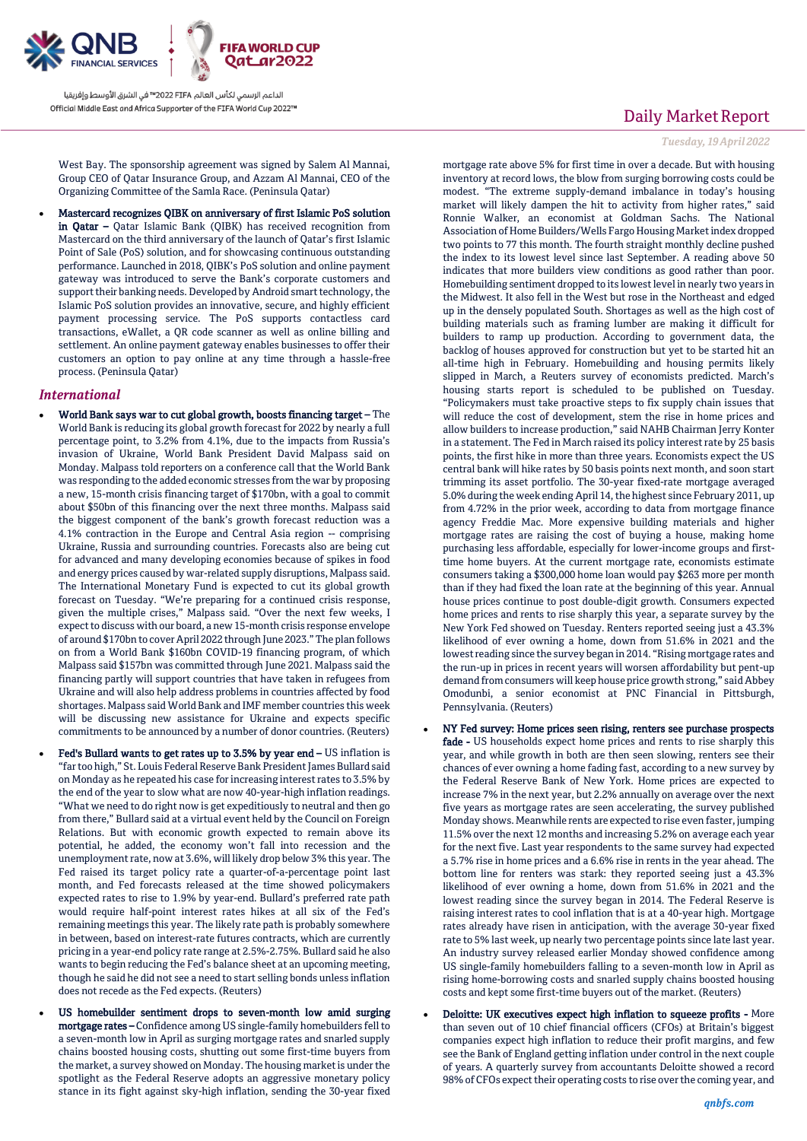

West Bay. The sponsorship agreement was signed by Salem Al Mannai, Group CEO of Qatar Insurance Group, and Azzam Al Mannai, CEO of the Organizing Committee of the Samla Race. (Peninsula Qatar)

 Mastercard recognizes QIBK on anniversary of first Islamic PoS solution in Qatar – Qatar Islamic Bank (QIBK) has received recognition from Mastercard on the third anniversary of the launch of Qatar's first Islamic Point of Sale (PoS) solution, and for showcasing continuous outstanding performance. Launched in 2018, QIBK's PoS solution and online payment gateway was introduced to serve the Bank's corporate customers and support their banking needs. Developed by Android smart technology, the Islamic PoS solution provides an innovative, secure, and highly efficient payment processing service. The PoS supports contactless card transactions, eWallet, a QR code scanner as well as online billing and settlement. An online payment gateway enables businesses to offer their customers an option to pay online at any time through a hassle-free process. (Peninsula Qatar)

#### *International*

- World Bank says war to cut global growth, boosts financing target The World Bank is reducing its global growth forecast for 2022 by nearly a full percentage point, to 3.2% from 4.1%, due to the impacts from Russia's invasion of Ukraine, World Bank President David Malpass said on Monday. Malpass told reporters on a conference call that the World Bank was responding to the added economic stresses from the war by proposing a new, 15-month crisis financing target of \$170bn, with a goal to commit about \$50bn of this financing over the next three months. Malpass said the biggest component of the bank's growth forecast reduction was a 4.1% contraction in the Europe and Central Asia region -- comprising Ukraine, Russia and surrounding countries. Forecasts also are being cut for advanced and many developing economies because of spikes in food and energy prices caused by war-related supply disruptions, Malpass said. The International Monetary Fund is expected to cut its global growth forecast on Tuesday. "We're preparing for a continued crisis response, given the multiple crises," Malpass said. "Over the next few weeks, I expect to discuss with our board, a new 15-month crisis response envelope of around \$170bn to cover April 2022 through June 2023." The plan follows on from a World Bank \$160bn COVID-19 financing program, of which Malpass said \$157bn was committed through June 2021. Malpass said the financing partly will support countries that have taken in refugees from Ukraine and will also help address problems in countries affected by food shortages. Malpass said World Bank and IMF member countries this week will be discussing new assistance for Ukraine and expects specific commitments to be announced by a number of donor countries. (Reuters)
- Fed's Bullard wants to get rates up to 3.5% by year end US inflation is "far too high," St. Louis Federal Reserve Bank President James Bullard said on Monday as he repeated his case for increasing interest rates to 3.5% by the end of the year to slow what are now 40-year-high inflation readings. "What we need to do right now is get expeditiously to neutral and then go from there," Bullard said at a virtual event held by the Council on Foreign Relations. But with economic growth expected to remain above its potential, he added, the economy won't fall into recession and the unemployment rate, now at 3.6%, will likely drop below 3% this year. The Fed raised its target policy rate a quarter-of-a-percentage point last month, and Fed forecasts released at the time showed policymakers expected rates to rise to 1.9% by year-end. Bullard's preferred rate path would require half-point interest rates hikes at all six of the Fed's remaining meetings this year. The likely rate path is probably somewhere in between, based on interest-rate futures contracts, which are currently pricing in a year-end policy rate range at 2.5%-2.75%. Bullard said he also wants to begin reducing the Fed's balance sheet at an upcoming meeting, though he said he did not see a need to start selling bonds unless inflation does not recede as the Fed expects. (Reuters)
- US homebuilder sentiment drops to seven-month low amid surging mortgage rates – Confidence among US single-family homebuilders fell to a seven-month low in April as surging mortgage rates and snarled supply chains boosted housing costs, shutting out some first-time buyers from the market, a survey showed on Monday. The housing market is under the spotlight as the Federal Reserve adopts an aggressive monetary policy stance in its fight against sky-high inflation, sending the 30-year fixed

## Daily Market Report

#### *Tuesday, 19April 2022*

mortgage rate above 5% for first time in over a decade. But with housing inventory at record lows, the blow from surging borrowing costs could be modest. "The extreme supply-demand imbalance in today's housing market will likely dampen the hit to activity from higher rates," said Ronnie Walker, an economist at Goldman Sachs. The National Association of Home Builders/Wells Fargo Housing Market index dropped two points to 77 this month. The fourth straight monthly decline pushed the index to its lowest level since last September. A reading above 50 indicates that more builders view conditions as good rather than poor. Homebuilding sentiment dropped to its lowest level in nearly two years in the Midwest. It also fell in the West but rose in the Northeast and edged up in the densely populated South. Shortages as well as the high cost of building materials such as framing lumber are making it difficult for builders to ramp up production. According to government data, the backlog of houses approved for construction but yet to be started hit an all-time high in February. Homebuilding and housing permits likely slipped in March, a Reuters survey of economists predicted. March's housing starts report is scheduled to be published on Tuesday. "Policymakers must take proactive steps to fix supply chain issues that will reduce the cost of development, stem the rise in home prices and allow builders to increase production," said NAHB Chairman Jerry Konter in a statement. The Fed in March raised its policy interest rate by 25 basis points, the first hike in more than three years. Economists expect the US central bank will hike rates by 50 basis points next month, and soon start trimming its asset portfolio. The 30-year fixed-rate mortgage averaged 5.0% during the week ending April 14, the highest since February 2011, up from 4.72% in the prior week, according to data from mortgage finance agency Freddie Mac. More expensive building materials and higher mortgage rates are raising the cost of buying a house, making home purchasing less affordable, especially for lower-income groups and firsttime home buyers. At the current mortgage rate, economists estimate consumers taking a \$300,000 home loan would pay \$263 more per month than if they had fixed the loan rate at the beginning of this year. Annual house prices continue to post double-digit growth. Consumers expected home prices and rents to rise sharply this year, a separate survey by the New York Fed showed on Tuesday. Renters reported seeing just a 43.3% likelihood of ever owning a home, down from 51.6% in 2021 and the lowest reading since the survey began in 2014. "Rising mortgage rates and the run-up in prices in recent years will worsen affordability but pent-up demand from consumers will keep house price growth strong," said Abbey Omodunbi, a senior economist at PNC Financial in Pittsburgh, Pennsylvania. (Reuters)

- NY Fed survey: Home prices seen rising, renters see purchase prospects fade - US households expect home prices and rents to rise sharply this year, and while growth in both are then seen slowing, renters see their chances of ever owning a home fading fast, according to a new survey by the Federal Reserve Bank of New York. Home prices are expected to increase 7% in the next year, but 2.2% annually on average over the next five years as mortgage rates are seen accelerating, the survey published Monday shows. Meanwhile rents are expected to rise even faster, jumping 11.5% over the next 12 months and increasing 5.2% on average each year for the next five. Last year respondents to the same survey had expected a 5.7% rise in home prices and a 6.6% rise in rents in the year ahead. The bottom line for renters was stark: they reported seeing just a 43.3% likelihood of ever owning a home, down from 51.6% in 2021 and the lowest reading since the survey began in 2014. The Federal Reserve is raising interest rates to cool inflation that is at a 40-year high. Mortgage rates already have risen in anticipation, with the average 30-year fixed rate to 5% last week, up nearly two percentage points since late last year. An industry survey released earlier Monday showed confidence among US single-family homebuilders falling to a seven-month low in April as rising home-borrowing costs and snarled supply chains boosted housing costs and kept some first-time buyers out of the market. (Reuters)
- Deloitte: UK executives expect high inflation to squeeze profits More than seven out of 10 chief financial officers (CFOs) at Britain's biggest companies expect high inflation to reduce their profit margins, and few see the Bank of England getting inflation under control in the next couple of years. A quarterly survey from accountants Deloitte showed a record 98% of CFOs expect their operating costs to rise over the coming year, and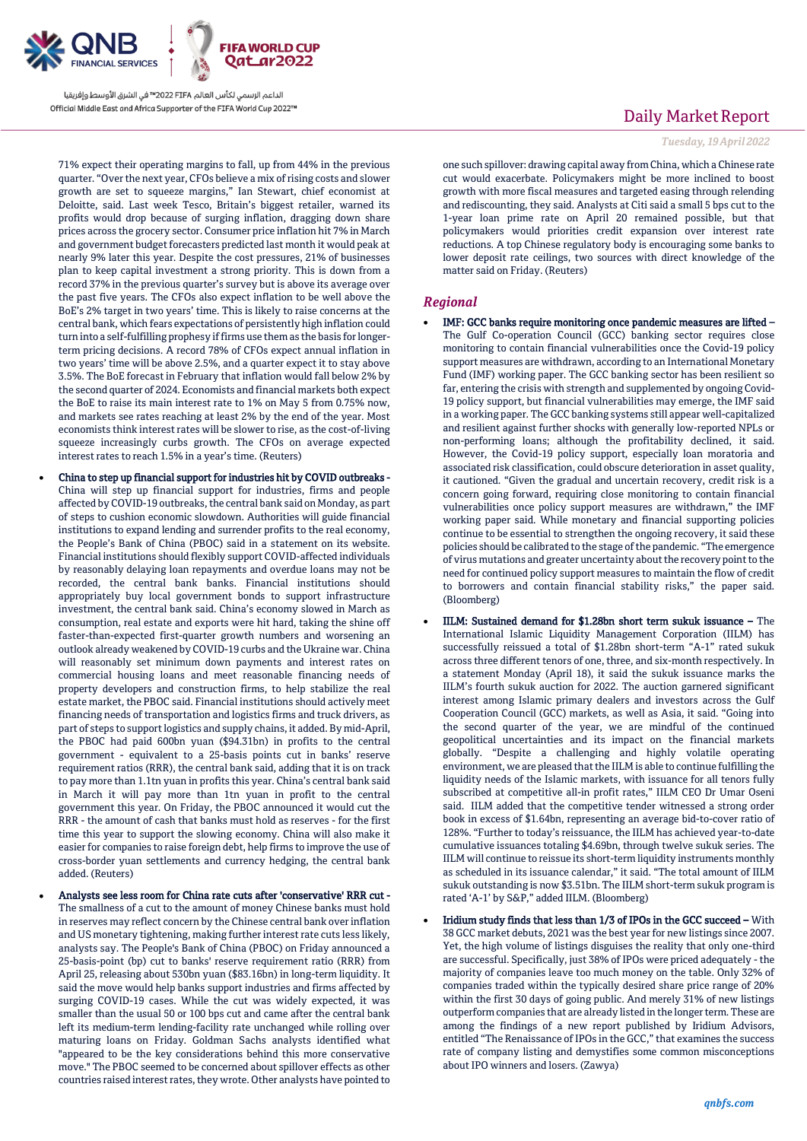

71% expect their operating margins to fall, up from 44% in the previous quarter. "Over the next year, CFOs believe a mix of rising costs and slower growth are set to squeeze margins," Ian Stewart, chief economist at Deloitte, said. Last week Tesco, Britain's biggest retailer, warned its profits would drop because of surging inflation, dragging down share prices across the grocery sector. Consumer price inflation hit 7% in March and government budget forecasters predicted last month it would peak at nearly 9% later this year. Despite the cost pressures, 21% of businesses plan to keep capital investment a strong priority. This is down from a record 37% in the previous quarter's survey but is above its average over the past five years. The CFOs also expect inflation to be well above the BoE's 2% target in two years' time. This is likely to raise concerns at the central bank, which fears expectations of persistently high inflation could turn into a self-fulfilling prophesy if firms use them as the basis for longerterm pricing decisions. A record 78% of CFOs expect annual inflation in two years' time will be above 2.5%, and a quarter expect it to stay above 3.5%. The BoE forecast in February that inflation would fall below 2% by the second quarter of 2024. Economists and financial markets both expect the BoE to raise its main interest rate to 1% on May 5 from 0.75% now, and markets see rates reaching at least 2% by the end of the year. Most economists think interest rates will be slower to rise, as the cost-of-living squeeze increasingly curbs growth. The CFOs on average expected interest rates to reach 1.5% in a year's time. (Reuters)

- China to step up financial support for industries hit by COVID outbreaks China will step up financial support for industries, firms and people affected by COVID-19 outbreaks, the central bank said on Monday, as part of steps to cushion economic slowdown. Authorities will guide financial institutions to expand lending and surrender profits to the real economy, the People's Bank of China (PBOC) said in a statement on its website. Financial institutions should flexibly support COVID-affected individuals by reasonably delaying loan repayments and overdue loans may not be recorded, the central bank banks. Financial institutions should appropriately buy local government bonds to support infrastructure investment, the central bank said. China's economy slowed in March as consumption, real estate and exports were hit hard, taking the shine off faster-than-expected first-quarter growth numbers and worsening an outlook already weakened by COVID-19 curbs and the Ukraine war. China will reasonably set minimum down payments and interest rates on commercial housing loans and meet reasonable financing needs of property developers and construction firms, to help stabilize the real estate market, the PBOC said. Financial institutions should actively meet financing needs of transportation and logistics firms and truck drivers, as part of steps to support logistics and supply chains, it added. By mid-April, the PBOC had paid 600bn yuan (\$94.31bn) in profits to the central government - equivalent to a 25-basis points cut in banks' reserve requirement ratios (RRR), the central bank said, adding that it is on track to pay more than 1.1tn yuan in profits this year. China's central bank said in March it will pay more than 1tn yuan in profit to the central government this year. On Friday, the PBOC announced it would cut the RRR - the amount of cash that banks must hold as reserves - for the first time this year to support the slowing economy. China will also make it easier for companies to raise foreign debt, help firms to improve the use of cross-border yuan settlements and currency hedging, the central bank added. (Reuters)
- Analysts see less room for China rate cuts after 'conservative' RRR cut The smallness of a cut to the amount of money Chinese banks must hold in reserves may reflect concern by the Chinese central bank over inflation and US monetary tightening, making further interest rate cuts less likely, analysts say. The People's Bank of China (PBOC) on Friday announced a 25-basis-point (bp) cut to banks' reserve requirement ratio (RRR) from April 25, releasing about 530bn yuan (\$83.16bn) in long-term liquidity. It said the move would help banks support industries and firms affected by surging COVID-19 cases. While the cut was widely expected, it was smaller than the usual 50 or 100 bps cut and came after the central bank left its medium-term lending-facility rate unchanged while rolling over maturing loans on Friday. Goldman Sachs analysts identified what "appeared to be the key considerations behind this more conservative move." The PBOC seemed to be concerned about spillover effects as other countries raised interest rates, they wrote. Other analysts have pointed to

## Daily Market Report

#### *Tuesday, 19April 2022*

one such spillover: drawing capital away from China, which a Chinese rate cut would exacerbate. Policymakers might be more inclined to boost growth with more fiscal measures and targeted easing through relending and rediscounting, they said. Analysts at Citi said a small 5 bps cut to the 1-year loan prime rate on April 20 remained possible, but that policymakers would priorities credit expansion over interest rate reductions. A top Chinese regulatory body is encouraging some banks to lower deposit rate ceilings, two sources with direct knowledge of the matter said on Friday. (Reuters)

#### *Regional*

- IMF: GCC banks require monitoring once pandemic measures are lifted The Gulf Co-operation Council (GCC) banking sector requires close monitoring to contain financial vulnerabilities once the Covid-19 policy support measures are withdrawn, according to an International Monetary Fund (IMF) working paper. The GCC banking sector has been resilient so far, entering the crisis with strength and supplemented by ongoing Covid-19 policy support, but financial vulnerabilities may emerge, the IMF said in a working paper. The GCC banking systems still appear well-capitalized and resilient against further shocks with generally low-reported NPLs or non-performing loans; although the profitability declined, it said. However, the Covid-19 policy support, especially loan moratoria and associated risk classification, could obscure deterioration in asset quality, it cautioned. "Given the gradual and uncertain recovery, credit risk is a concern going forward, requiring close monitoring to contain financial vulnerabilities once policy support measures are withdrawn," the IMF working paper said. While monetary and financial supporting policies continue to be essential to strengthen the ongoing recovery, it said these policies should be calibrated to the stage of the pandemic. "The emergence of virus mutations and greater uncertainty about the recovery point to the need for continued policy support measures to maintain the flow of credit to borrowers and contain financial stability risks," the paper said. (Bloomberg)
- IILM: Sustained demand for \$1.28bn short term sukuk issuance The International Islamic Liquidity Management Corporation (IILM) has successfully reissued a total of \$1.28bn short-term "A-1" rated sukuk across three different tenors of one, three, and six-month respectively. In a statement Monday (April 18), it said the sukuk issuance marks the IILM's fourth sukuk auction for 2022. The auction garnered significant interest among Islamic primary dealers and investors across the Gulf Cooperation Council (GCC) markets, as well as Asia, it said. "Going into the second quarter of the year, we are mindful of the continued geopolitical uncertainties and its impact on the financial markets globally. "Despite a challenging and highly volatile operating environment, we are pleased that the IILM is able to continue fulfilling the liquidity needs of the Islamic markets, with issuance for all tenors fully subscribed at competitive all-in profit rates," IILM CEO Dr Umar Oseni said. IILM added that the competitive tender witnessed a strong order book in excess of \$1.64bn, representing an average bid-to-cover ratio of 128%. "Further to today's reissuance, the IILM has achieved year-to-date cumulative issuances totaling \$4.69bn, through twelve sukuk series. The IILM will continue to reissue its short-term liquidity instruments monthly as scheduled in its issuance calendar," it said. "The total amount of IILM sukuk outstanding is now \$3.51bn. The IILM short-term sukuk program is rated 'A-1' by S&P," added IILM. (Bloomberg)
- Iridium study finds that less than 1/3 of IPOs in the GCC succeed With 38 GCC market debuts, 2021 was the best year for new listings since 2007. Yet, the high volume of listings disguises the reality that only one-third are successful. Specifically, just 38% of IPOs were priced adequately - the majority of companies leave too much money on the table. Only 32% of companies traded within the typically desired share price range of 20% within the first 30 days of going public. And merely 31% of new listings outperform companies that are already listed in the longer term. These are among the findings of a new report published by Iridium Advisors, entitled "The Renaissance of IPOs in the GCC," that examines the success rate of company listing and demystifies some common misconceptions about IPO winners and losers. (Zawya)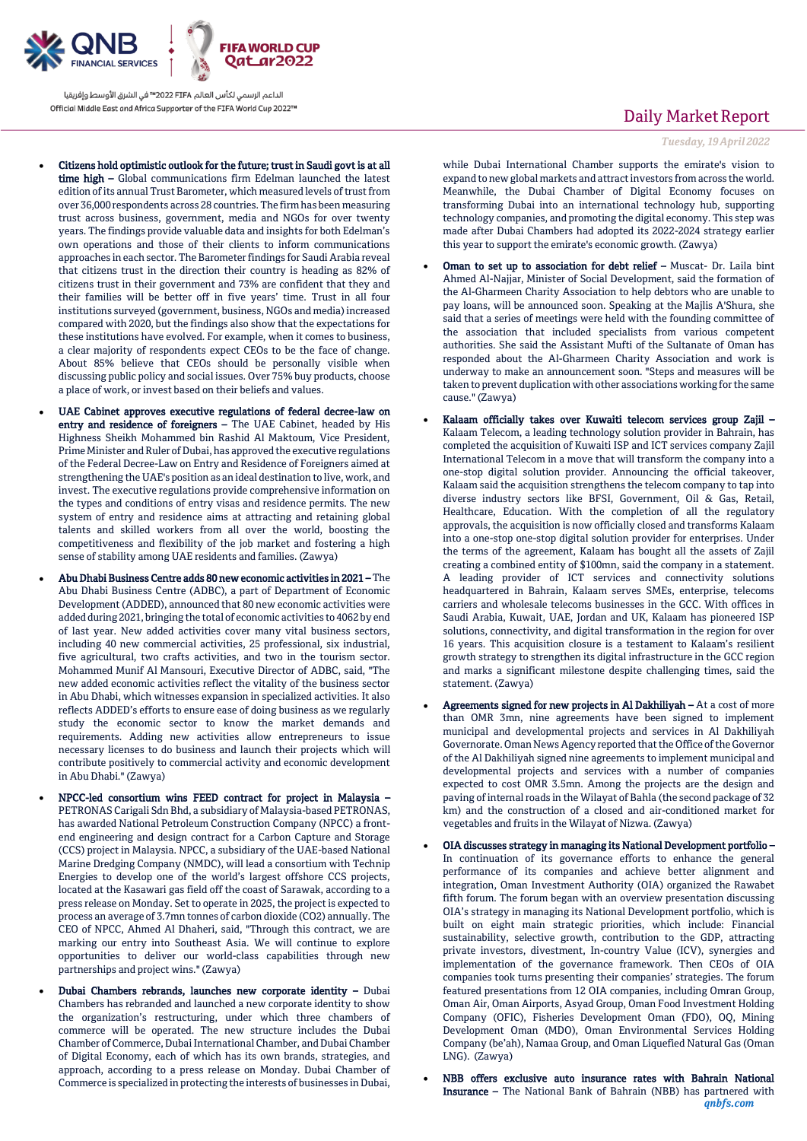

- Citizens hold optimistic outlook for the future; trust in Saudi govt is at all time high - Global communications firm Edelman launched the latest edition of its annual Trust Barometer, which measured levels of trust from over 36,000 respondents across 28 countries. The firm has been measuring trust across business, government, media and NGOs for over twenty years. The findings provide valuable data and insights for both Edelman's own operations and those of their clients to inform communications approaches in each sector. The Barometer findings for Saudi Arabia reveal that citizens trust in the direction their country is heading as 82% of citizens trust in their government and 73% are confident that they and their families will be better off in five years' time. Trust in all four institutions surveyed (government, business, NGOs and media) increased compared with 2020, but the findings also show that the expectations for these institutions have evolved. For example, when it comes to business, a clear majority of respondents expect CEOs to be the face of change. About 85% believe that CEOs should be personally visible when discussing public policy and social issues. Over 75% buy products, choose a place of work, or invest based on their beliefs and values.
- UAE Cabinet approves executive regulations of federal decree-law on entry and residence of foreigners – The UAE Cabinet, headed by His Highness Sheikh Mohammed bin Rashid Al Maktoum, Vice President, Prime Minister and Ruler of Dubai, has approved the executive regulations of the Federal Decree-Law on Entry and Residence of Foreigners aimed at strengthening the UAE's position as an ideal destination to live, work, and invest. The executive regulations provide comprehensive information on the types and conditions of entry visas and residence permits. The new system of entry and residence aims at attracting and retaining global talents and skilled workers from all over the world, boosting the competitiveness and flexibility of the job market and fostering a high sense of stability among UAE residents and families. (Zawya)
- Abu Dhabi Business Centre adds 80 new economic activities in 2021 The Abu Dhabi Business Centre (ADBC), a part of Department of Economic Development (ADDED), announced that 80 new economic activities were added during 2021, bringing the total of economic activities to 4062 by end of last year. New added activities cover many vital business sectors, including 40 new commercial activities, 25 professional, six industrial, five agricultural, two crafts activities, and two in the tourism sector. Mohammed Munif Al Mansouri, Executive Director of ADBC, said, "The new added economic activities reflect the vitality of the business sector in Abu Dhabi, which witnesses expansion in specialized activities. It also reflects ADDED's efforts to ensure ease of doing business as we regularly study the economic sector to know the market demands and requirements. Adding new activities allow entrepreneurs to issue necessary licenses to do business and launch their projects which will contribute positively to commercial activity and economic development in Abu Dhabi." (Zawya)
- NPCC-led consortium wins FEED contract for project in Malaysia PETRONAS Carigali Sdn Bhd, a subsidiary of Malaysia-based PETRONAS, has awarded National Petroleum Construction Company (NPCC) a frontend engineering and design contract for a Carbon Capture and Storage (CCS) project in Malaysia. NPCC, a subsidiary of the UAE-based National Marine Dredging Company (NMDC), will lead a consortium with Technip Energies to develop one of the world's largest offshore CCS projects, located at the Kasawari gas field off the coast of Sarawak, according to a press release on Monday. Set to operate in 2025, the project is expected to process an average of 3.7mn tonnes of carbon dioxide (CO2) annually. The CEO of NPCC, Ahmed Al Dhaheri, said, "Through this contract, we are marking our entry into Southeast Asia. We will continue to explore opportunities to deliver our world-class capabilities through new partnerships and project wins." (Zawya)
- Dubai Chambers rebrands, launches new corporate identity Dubai Chambers has rebranded and launched a new corporate identity to show the organization's restructuring, under which three chambers of commerce will be operated. The new structure includes the Dubai Chamber of Commerce, Dubai International Chamber, and Dubai Chamber of Digital Economy, each of which has its own brands, strategies, and approach, according to a press release on Monday. Dubai Chamber of Commerce is specialized in protecting the interests of businesses in Dubai,

## Daily Market Report

*Tuesday, 19April 2022*

while Dubai International Chamber supports the emirate's vision to expand to new global markets and attract investors from across the world. Meanwhile, the Dubai Chamber of Digital Economy focuses on transforming Dubai into an international technology hub, supporting technology companies, and promoting the digital economy. This step was made after Dubai Chambers had adopted its 2022-2024 strategy earlier this year to support the emirate's economic growth. (Zawya)

- Oman to set up to association for debt relief Muscat- Dr. Laila bint Ahmed Al-Najjar, Minister of Social Development, said the formation of the Al-Gharmeen Charity Association to help debtors who are unable to pay loans, will be announced soon. Speaking at the Majlis A'Shura, she said that a series of meetings were held with the founding committee of the association that included specialists from various competent authorities. She said the Assistant Mufti of the Sultanate of Oman has responded about the Al-Gharmeen Charity Association and work is underway to make an announcement soon. "Steps and measures will be taken to prevent duplication with other associations working for the same cause." (Zawya)
- Kalaam officially takes over Kuwaiti telecom services group Zajil Kalaam Telecom, a leading technology solution provider in Bahrain, has completed the acquisition of Kuwaiti ISP and ICT services company Zajil International Telecom in a move that will transform the company into a one-stop digital solution provider. Announcing the official takeover, Kalaam said the acquisition strengthens the telecom company to tap into diverse industry sectors like BFSI, Government, Oil & Gas, Retail, Healthcare, Education. With the completion of all the regulatory approvals, the acquisition is now officially closed and transforms Kalaam into a one-stop one-stop digital solution provider for enterprises. Under the terms of the agreement, Kalaam has bought all the assets of Zajil creating a combined entity of \$100mn, said the company in a statement. A leading provider of ICT services and connectivity solutions headquartered in Bahrain, Kalaam serves SMEs, enterprise, telecoms carriers and wholesale telecoms businesses in the GCC. With offices in Saudi Arabia, Kuwait, UAE, Jordan and UK, Kalaam has pioneered ISP solutions, connectivity, and digital transformation in the region for over 16 years. This acquisition closure is a testament to Kalaam's resilient growth strategy to strengthen its digital infrastructure in the GCC region and marks a significant milestone despite challenging times, said the statement. (Zawya)
- Agreements signed for new projects in Al Dakhiliyah At a cost of more than OMR 3mn, nine agreements have been signed to implement municipal and developmental projects and services in Al Dakhiliyah Governorate. Oman News Agency reported that the Office of the Governor of the Al Dakhiliyah signed nine agreements to implement municipal and developmental projects and services with a number of companies expected to cost OMR 3.5mn. Among the projects are the design and paving of internal roads in the Wilayat of Bahla (the second package of 32 km) and the construction of a closed and air-conditioned market for vegetables and fruits in the Wilayat of Nizwa. (Zawya)
- OIA discusses strategy in managing its National Development portfolio In continuation of its governance efforts to enhance the general performance of its companies and achieve better alignment and integration, Oman Investment Authority (OIA) organized the Rawabet fifth forum. The forum began with an overview presentation discussing OIA's strategy in managing its National Development portfolio, which is built on eight main strategic priorities, which include: Financial sustainability, selective growth, contribution to the GDP, attracting private investors, divestment, In-country Value (ICV), synergies and implementation of the governance framework. Then CEOs of OIA companies took turns presenting their companies' strategies. The forum featured presentations from 12 OIA companies, including Omran Group, Oman Air, Oman Airports, Asyad Group, Oman Food Investment Holding Company (OFIC), Fisheries Development Oman (FDO), OQ, Mining Development Oman (MDO), Oman Environmental Services Holding Company (be'ah), Namaa Group, and Oman Liquefied Natural Gas (Oman LNG). (Zawya)
- *qnbfs.com* NBB offers exclusive auto insurance rates with Bahrain National Insurance – The National Bank of Bahrain (NBB) has partnered with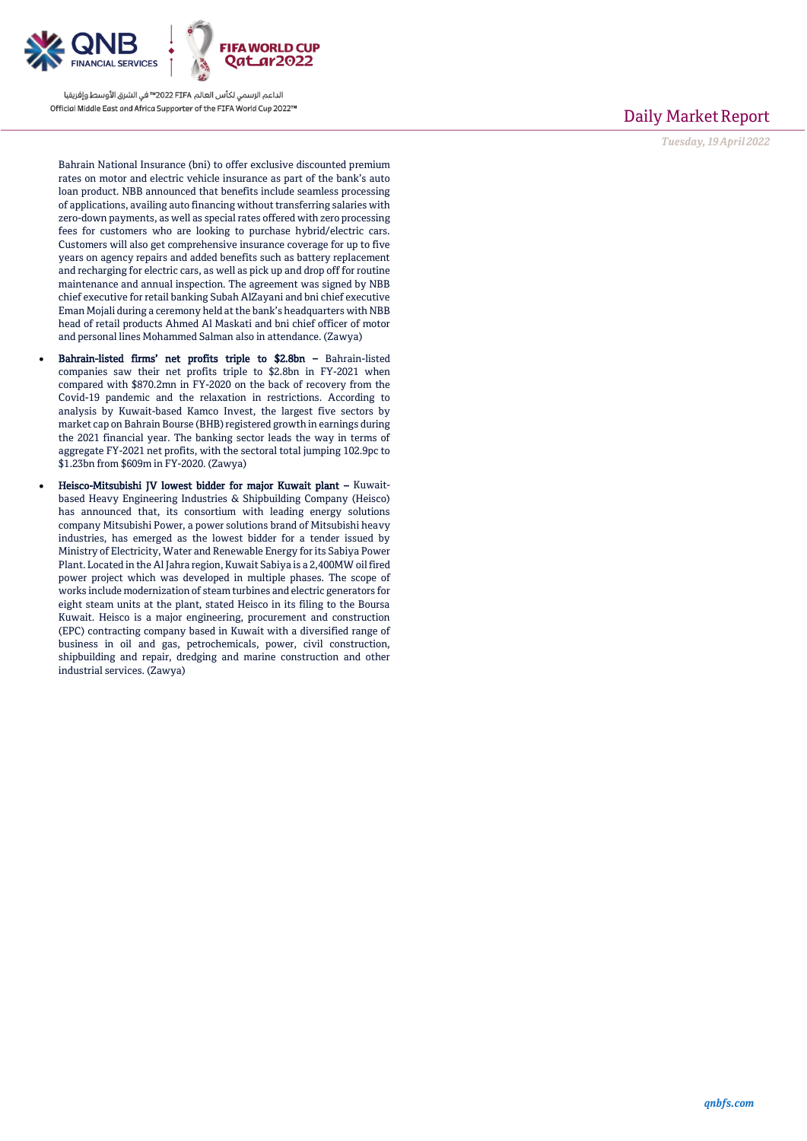

Bahrain National Insurance (bni) to offer exclusive discounted premium rates on motor and electric vehicle insurance as part of the bank's auto loan product. NBB announced that benefits include seamless processing of applications, availing auto financing without transferring salaries with zero-down payments, as well as special rates offered with zero processing fees for customers who are looking to purchase hybrid/electric cars. Customers will also get comprehensive insurance coverage for up to five years on agency repairs and added benefits such as battery replacement and recharging for electric cars, as well as pick up and drop off for routine maintenance and annual inspection. The agreement was signed by NBB chief executive for retail banking Subah AlZayani and bni chief executive Eman Mojali during a ceremony held atthe bank's headquarters with NBB head of retail products Ahmed Al Maskati and bni chief officer of motor and personal lines Mohammed Salman also in attendance. (Zawya)

- Bahrain-listed firms' net profits triple to \$2.8bn Bahrain-listed companies saw their net profits triple to \$2.8bn in FY-2021 when compared with \$870.2mn in FY-2020 on the back of recovery from the Covid-19 pandemic and the relaxation in restrictions. According to analysis by Kuwait-based Kamco Invest, the largest five sectors by market cap on Bahrain Bourse (BHB) registered growth in earnings during the 2021 financial year. The banking sector leads the way in terms of aggregate FY-2021 net profits, with the sectoral total jumping 102.9pc to \$1.23bn from \$609m in FY-2020. (Zawya)
- Heisco-Mitsubishi JV lowest bidder for major Kuwait plant Kuwaitbased Heavy Engineering Industries & Shipbuilding Company (Heisco) has announced that, its consortium with leading energy solutions company Mitsubishi Power, a power solutions brand of Mitsubishi heavy industries, has emerged as the lowest bidder for a tender issued by Ministry of Electricity, Water and Renewable Energy for its Sabiya Power Plant. Located in the Al Jahra region, Kuwait Sabiya is a 2,400MW oil fired power project which was developed in multiple phases. The scope of works include modernization of steam turbines and electric generators for eight steam units at the plant, stated Heisco in its filing to the Boursa Kuwait. Heisco is a major engineering, procurement and construction (EPC) contracting company based in Kuwait with a diversified range of business in oil and gas, petrochemicals, power, civil construction, shipbuilding and repair, dredging and marine construction and other industrial services. (Zawya)

## Daily Market Report

*Tuesday, 19April 2022*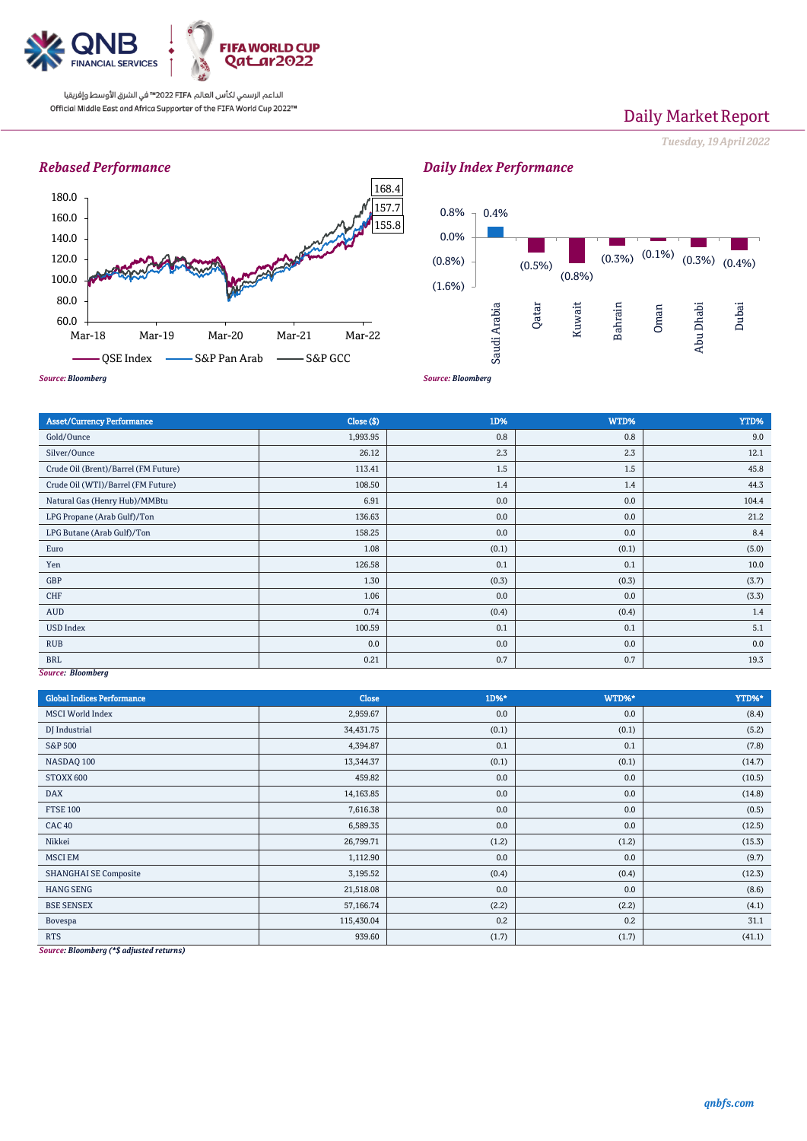

# Daily Market Report

*Tuesday, 19April 2022*



*Daily Index Performance*



| <b>Asset/Currency Performance</b>    | Close ( \$) | 1D%   | WTD%  | YTD%  |
|--------------------------------------|-------------|-------|-------|-------|
| Gold/Ounce                           | 1,993.95    | 0.8   | 0.8   | 9.0   |
| Silver/Ounce                         | 26.12       | 2.3   | 2.3   | 12.1  |
| Crude Oil (Brent)/Barrel (FM Future) | 113.41      | 1.5   | 1.5   | 45.8  |
| Crude Oil (WTI)/Barrel (FM Future)   | 108.50      | 1.4   | 1.4   | 44.3  |
| Natural Gas (Henry Hub)/MMBtu        | 6.91        | 0.0   | 0.0   | 104.4 |
| LPG Propane (Arab Gulf)/Ton          | 136.63      | 0.0   | 0.0   | 21.2  |
| LPG Butane (Arab Gulf)/Ton           | 158.25      | 0.0   | 0.0   | 8.4   |
| Euro                                 | 1.08        | (0.1) | (0.1) | (5.0) |
| Yen                                  | 126.58      | 0.1   | 0.1   | 10.0  |
| GBP                                  | 1.30        | (0.3) | (0.3) | (3.7) |
| CHF                                  | 1.06        | 0.0   | 0.0   | (3.3) |
| AUD                                  | 0.74        | (0.4) | (0.4) | 1.4   |
| <b>USD Index</b>                     | 100.59      | 0.1   | 0.1   | 5.1   |
| <b>RUB</b>                           | 0.0         | 0.0   | 0.0   | 0.0   |
| <b>BRL</b>                           | 0.21        | 0.7   | 0.7   | 19.3  |

### *Source: Bloomberg*

| <b>Global Indices Performance</b> | Close      | 1D%*  | WTD%* | YTD%*  |
|-----------------------------------|------------|-------|-------|--------|
| <b>MSCI World Index</b>           | 2,959.67   | 0.0   | 0.0   | (8.4)  |
| DJ Industrial                     | 34,431.75  | (0.1) | (0.1) | (5.2)  |
| <b>S&amp;P 500</b>                | 4,394.87   | 0.1   | 0.1   | (7.8)  |
| NASDAQ 100                        | 13,344.37  | (0.1) | (0.1) | (14.7) |
| STOXX 600                         | 459.82     | 0.0   | 0.0   | (10.5) |
| <b>DAX</b>                        | 14,163.85  | 0.0   | 0.0   | (14.8) |
| <b>FTSE 100</b>                   | 7,616.38   | 0.0   | 0.0   | (0.5)  |
| <b>CAC 40</b>                     | 6,589.35   | 0.0   | 0.0   | (12.5) |
| Nikkei                            | 26,799.71  | (1.2) | (1.2) | (15.3) |
| <b>MSCI EM</b>                    | 1,112.90   | 0.0   | 0.0   | (9.7)  |
| <b>SHANGHAI SE Composite</b>      | 3,195.52   | (0.4) | (0.4) | (12.3) |
| <b>HANG SENG</b>                  | 21,518.08  | 0.0   | 0.0   | (8.6)  |
| <b>BSE SENSEX</b>                 | 57,166.74  | (2.2) | (2.2) | (4.1)  |
| Bovespa                           | 115,430.04 | 0.2   | 0.2   | 31.1   |
| <b>RTS</b>                        | 939.60     | (1.7) | (1.7) | (41.1) |

*Source: Bloomberg (\*\$ adjusted returns)*